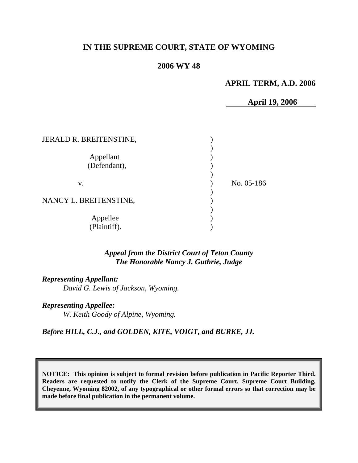# **IN THE SUPREME COURT, STATE OF WYOMING**

## **2006 WY 48**

### **APRIL TERM, A.D. 2006**

**April 19, 2006** 

| JERALD R. BREITENSTINE,   |            |
|---------------------------|------------|
| Appellant<br>(Defendant), |            |
| V.                        | No. 05-186 |
| NANCY L. BREITENSTINE,    |            |
| Appellee<br>(Plaintiff).  |            |

## *Appeal from the District Court of Teton County The Honorable Nancy J. Guthrie, Judge*

*Representing Appellant: David G. Lewis of Jackson, Wyoming.* 

*Representing Appellee: W. Keith Goody of Alpine, Wyoming.* 

*Before HILL, C.J., and GOLDEN, KITE, VOIGT, and BURKE, JJ.* 

**NOTICE: This opinion is subject to formal revision before publication in Pacific Reporter Third. Readers are requested to notify the Clerk of the Supreme Court, Supreme Court Building, Cheyenne, Wyoming 82002, of any typographical or other formal errors so that correction may be made before final publication in the permanent volume.**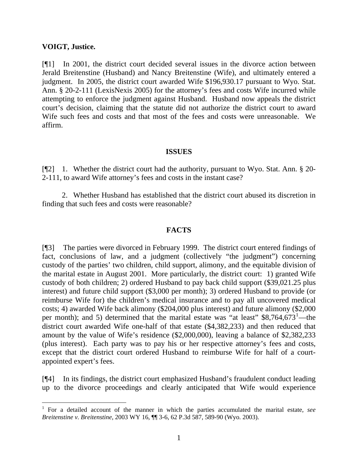### **VOIGT, Justice.**

 $\overline{a}$ 

[¶1] In 2001, the district court decided several issues in the divorce action between Jerald Breitenstine (Husband) and Nancy Breitenstine (Wife), and ultimately entered a judgment. In 2005, the district court awarded Wife \$196,930.17 pursuant to Wyo. Stat. Ann. § 20-2-111 (LexisNexis 2005) for the attorney's fees and costs Wife incurred while attempting to enforce the judgment against Husband. Husband now appeals the district court's decision, claiming that the statute did not authorize the district court to award Wife such fees and costs and that most of the fees and costs were unreasonable. We affirm.

#### **ISSUES**

[¶2] 1. Whether the district court had the authority, pursuant to Wyo. Stat. Ann. § 20-2-111, to award Wife attorney's fees and costs in the instant case?

2. Whether Husband has established that the district court abused its discretion in finding that such fees and costs were reasonable?

### **FACTS**

[¶3] The parties were divorced in February 1999. The district court entered findings of fact, conclusions of law, and a judgment (collectively "the judgment") concerning custody of the parties' two children, child support, alimony, and the equitable division of the marital estate in August 2001. More particularly, the district court: 1) granted Wife custody of both children; 2) ordered Husband to pay back child support (\$39,021.25 plus interest) and future child support (\$3,000 per month); 3) ordered Husband to provide (or reimburse Wife for) the children's medical insurance and to pay all uncovered medical costs; 4) awarded Wife back alimony (\$204,000 plus interest) and future alimony (\$2,000 per month); and 5) determined that the marital estate was "at least"  $$8,764,673$ <sup>[1](#page-1-0)</sup> —the district court awarded Wife one-half of that estate (\$4,382,233) and then reduced that amount by the value of Wife's residence (\$2,000,000), leaving a balance of \$2,382,233 (plus interest). Each party was to pay his or her respective attorney's fees and costs, except that the district court ordered Husband to reimburse Wife for half of a courtappointed expert's fees.

[¶4] In its findings, the district court emphasized Husband's fraudulent conduct leading up to the divorce proceedings and clearly anticipated that Wife would experience

<span id="page-1-0"></span><sup>1</sup> For a detailed account of the manner in which the parties accumulated the marital estate, *see Breitenstine v. Breitenstine*, 2003 WY 16, ¶¶ 3-6, 62 P.3d 587, 589-90 (Wyo. 2003).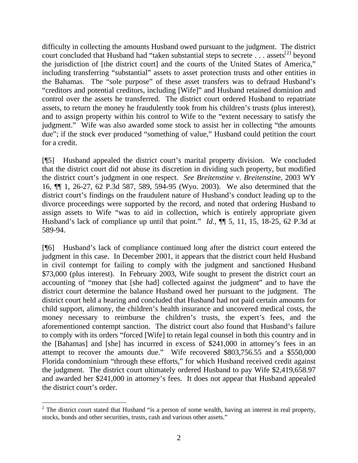difficulty in collecting the amounts Husband owed pursuant to the judgment. The district court concluded that Husband had "taken substantial steps to secrete  $\ldots$  assets<sup>[2]</sup> beyond the jurisdiction of [the district court] and the courts of the United States of America," including transferring "substantial" assets to asset protection trusts and other entities in the Bahamas. The "sole purpose" of these asset transfers was to defraud Husband's "creditors and potential creditors, including [Wife]" and Husband retained dominion and control over the assets he transferred. The district court ordered Husband to repatriate assets, to return the money he fraudulently took from his children's trusts (plus interest), and to assign property within his control to Wife to the "extent necessary to satisfy the judgment." Wife was also awarded some stock to assist her in collecting "the amounts due"; if the stock ever produced "something of value," Husband could petition the court for a credit.

[¶5] Husband appealed the district court's marital property division. We concluded that the district court did not abuse its discretion in dividing such property, but modified the district court's judgment in one respect. *See Breitenstine v. Breitenstine*, 2003 WY 16, ¶¶ 1, 26-27, 62 P.3d 587, 589, 594-95 (Wyo. 2003). We also determined that the district court's findings on the fraudulent nature of Husband's conduct leading up to the divorce proceedings were supported by the record, and noted that ordering Husband to assign assets to Wife "was to aid in collection, which is entirely appropriate given Husband's lack of compliance up until that point." *Id.*,  $\P$ [ 5, 11, 15, 18-25, 62 P.3d at 589-94.

[¶6] Husband's lack of compliance continued long after the district court entered the judgment in this case. In December 2001, it appears that the district court held Husband in civil contempt for failing to comply with the judgment and sanctioned Husband \$73,000 (plus interest). In February 2003, Wife sought to present the district court an accounting of "money that [she had] collected against the judgment" and to have the district court determine the balance Husband owed her pursuant to the judgment. The district court held a hearing and concluded that Husband had not paid certain amounts for child support, alimony, the children's health insurance and uncovered medical costs, the money necessary to reimburse the children's trusts, the expert's fees, and the aforementioned contempt sanction. The district court also found that Husband's failure to comply with its orders "forced [Wife] to retain legal counsel in both this country and in the [Bahamas] and [she] has incurred in excess of \$241,000 in attorney's fees in an attempt to recover the amounts due." Wife recovered \$803,756.55 and a \$550,000 Florida condominium "through these efforts," for which Husband received credit against the judgment. The district court ultimately ordered Husband to pay Wife \$2,419,658.97 and awarded her \$241,000 in attorney's fees. It does not appear that Husband appealed the district court's order.

<span id="page-2-0"></span><sup>&</sup>lt;sup>2</sup> The district court stated that Husband "is a person of some wealth, having an interest in real property, stocks, bonds and other securities, trusts, cash and various other assets."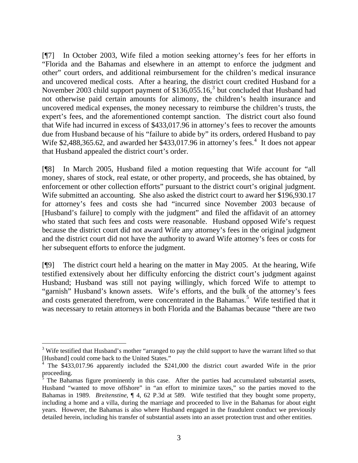[¶7] In October 2003, Wife filed a motion seeking attorney's fees for her efforts in "Florida and the Bahamas and elsewhere in an attempt to enforce the judgment and other" court orders, and additional reimbursement for the children's medical insurance and uncovered medical costs. After a hearing, the district court credited Husband for a November 200[3](#page-3-0) child support payment of  $$136,055.16$ ,<sup>3</sup> but concluded that Husband had not otherwise paid certain amounts for alimony, the children's health insurance and uncovered medical expenses, the money necessary to reimburse the children's trusts, the expert's fees, and the aforementioned contempt sanction. The district court also found that Wife had incurred in excess of \$433,017.96 in attorney's fees to recover the amounts due from Husband because of his "failure to abide by" its orders, ordered Husband to pay Wife  $$2,488,365.62$  $$2,488,365.62$  $$2,488,365.62$ , and awarded her  $$433,017.96$  in attorney's fees.<sup>4</sup> It does not appear that Husband appealed the district court's order.

[¶8] In March 2005, Husband filed a motion requesting that Wife account for "all money, shares of stock, real estate, or other property, and proceeds, she has obtained, by enforcement or other collection efforts" pursuant to the district court's original judgment. Wife submitted an accounting. She also asked the district court to award her \$196,930.17 for attorney's fees and costs she had "incurred since November 2003 because of [Husband's failure] to comply with the judgment" and filed the affidavit of an attorney who stated that such fees and costs were reasonable. Husband opposed Wife's request because the district court did not award Wife any attorney's fees in the original judgment and the district court did not have the authority to award Wife attorney's fees or costs for her subsequent efforts to enforce the judgment.

[¶9] The district court held a hearing on the matter in May 2005. At the hearing, Wife testified extensively about her difficulty enforcing the district court's judgment against Husband; Husband was still not paying willingly, which forced Wife to attempt to "garnish" Husband's known assets. Wife's efforts, and the bulk of the attorney's fees and costs generated therefrom, were concentrated in the Bahamas.<sup>[5](#page-3-2)</sup> Wife testified that it was necessary to retain attorneys in both Florida and the Bahamas because "there are two

<span id="page-3-0"></span> $3$  Wife testified that Husband's mother "arranged to pay the child support to have the warrant lifted so that [Husband] could come back to the United States."

<span id="page-3-1"></span><sup>4</sup> The \$433,017.96 apparently included the \$241,000 the district court awarded Wife in the prior

<span id="page-3-2"></span>proceeding.<br><sup>5</sup> The Bahamas figure prominently in this case. After the parties had accumulated substantial assets, Husband "wanted to move offshore" in "an effort to minimize taxes," so the parties moved to the Bahamas in 1989. *Breitenstine*, ¶ 4, 62 P.3d at 589. Wife testified that they bought some property, including a home and a villa, during the marriage and proceeded to live in the Bahamas for about eight years. However, the Bahamas is also where Husband engaged in the fraudulent conduct we previously detailed herein, including his transfer of substantial assets into an asset protection trust and other entities.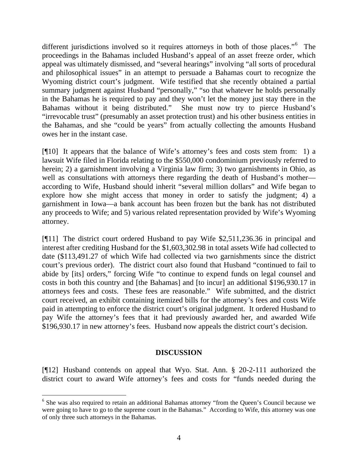different jurisdictions involved so it requires attorneys in both of those places."<sup>[6](#page-4-0)</sup> The proceedings in the Bahamas included Husband's appeal of an asset freeze order, which appeal was ultimately dismissed, and "several hearings" involving "all sorts of procedural and philosophical issues" in an attempt to persuade a Bahamas court to recognize the Wyoming district court's judgment. Wife testified that she recently obtained a partial summary judgment against Husband "personally," "so that whatever he holds personally in the Bahamas he is required to pay and they won't let the money just stay there in the Bahamas without it being distributed." She must now try to pierce Husband's "irrevocable trust" (presumably an asset protection trust) and his other business entities in the Bahamas, and she "could be years" from actually collecting the amounts Husband owes her in the instant case.

[¶10] It appears that the balance of Wife's attorney's fees and costs stem from: 1) a lawsuit Wife filed in Florida relating to the \$550,000 condominium previously referred to herein; 2) a garnishment involving a Virginia law firm; 3) two garnishments in Ohio, as well as consultations with attorneys there regarding the death of Husband's mother according to Wife, Husband should inherit "several million dollars" and Wife began to explore how she might access that money in order to satisfy the judgment; 4) a garnishment in Iowa—a bank account has been frozen but the bank has not distributed any proceeds to Wife; and 5) various related representation provided by Wife's Wyoming attorney.

[¶11] The district court ordered Husband to pay Wife \$2,511,236.36 in principal and interest after crediting Husband for the \$1,603,302.98 in total assets Wife had collected to date (\$113,491.27 of which Wife had collected via two garnishments since the district court's previous order). The district court also found that Husband "continued to fail to abide by [its] orders," forcing Wife "to continue to expend funds on legal counsel and costs in both this country and [the Bahamas] and [to incur] an additional \$196,930.17 in attorneys fees and costs. These fees are reasonable." Wife submitted, and the district court received, an exhibit containing itemized bills for the attorney's fees and costs Wife paid in attempting to enforce the district court's original judgment. It ordered Husband to pay Wife the attorney's fees that it had previously awarded her, and awarded Wife \$196,930.17 in new attorney's fees. Husband now appeals the district court's decision.

## **DISCUSSION**

[¶12] Husband contends on appeal that Wyo. Stat. Ann. § 20-2-111 authorized the district court to award Wife attorney's fees and costs for "funds needed during the

<span id="page-4-0"></span><sup>&</sup>lt;sup>6</sup> She was also required to retain an additional Bahamas attorney "from the Queen's Council because we were going to have to go to the supreme court in the Bahamas." According to Wife, this attorney was one of only three such attorneys in the Bahamas.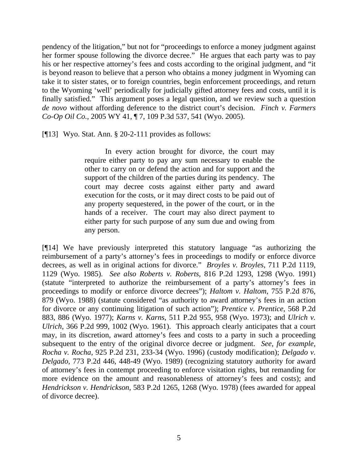pendency of the litigation," but not for "proceedings to enforce a money judgment against her former spouse following the divorce decree." He argues that each party was to pay his or her respective attorney's fees and costs according to the original judgment, and "it is beyond reason to believe that a person who obtains a money judgment in Wyoming can take it to sister states, or to foreign countries, begin enforcement proceedings, and return to the Wyoming 'well' periodically for judicially gifted attorney fees and costs, until it is finally satisfied." This argument poses a legal question, and we review such a question *de novo* without affording deference to the district court's decision. *Finch v. Farmers Co-Op Oil Co.*, 2005 WY 41, ¶ 7, 109 P.3d 537, 541 (Wyo. 2005).

[¶13] Wyo. Stat. Ann. § 20-2-111 provides as follows:

 In every action brought for divorce, the court may require either party to pay any sum necessary to enable the other to carry on or defend the action and for support and the support of the children of the parties during its pendency. The court may decree costs against either party and award execution for the costs, or it may direct costs to be paid out of any property sequestered, in the power of the court, or in the hands of a receiver. The court may also direct payment to either party for such purpose of any sum due and owing from any person.

[¶14] We have previously interpreted this statutory language "as authorizing the reimbursement of a party's attorney's fees in proceedings to modify or enforce divorce decrees, as well as in original actions for divorce." *Broyles v. Broyles*, 711 P.2d 1119, 1129 (Wyo. 1985). *See also Roberts v. Roberts*, 816 P.2d 1293, 1298 (Wyo. 1991) (statute "interpreted to authorize the reimbursement of a party's attorney's fees in proceedings to modify or enforce divorce decrees"); *Haltom v. Haltom*, 755 P.2d 876, 879 (Wyo. 1988) (statute considered "as authority to award attorney's fees in an action for divorce or any continuing litigation of such action"); *Prentice v. Prentice*, 568 P.2d 883, 886 (Wyo. 1977); *Karns v. Karns*, 511 P.2d 955, 958 (Wyo. 1973); and *Ulrich v. Ulrich*, 366 P.2d 999, 1002 (Wyo. 1961). This approach clearly anticipates that a court may, in its discretion, award attorney's fees and costs to a party in such a proceeding subsequent to the entry of the original divorce decree or judgment. *See, for example, Rocha v. Rocha*, 925 P.2d 231, 233-34 (Wyo. 1996) (custody modification); *Delgado v. Delgado*, 773 P.2d 446, 448-49 (Wyo. 1989) (recognizing statutory authority for award of attorney's fees in contempt proceeding to enforce visitation rights, but remanding for more evidence on the amount and reasonableness of attorney's fees and costs); and *Hendrickson v. Hendrickson*, 583 P.2d 1265, 1268 (Wyo. 1978) (fees awarded for appeal of divorce decree).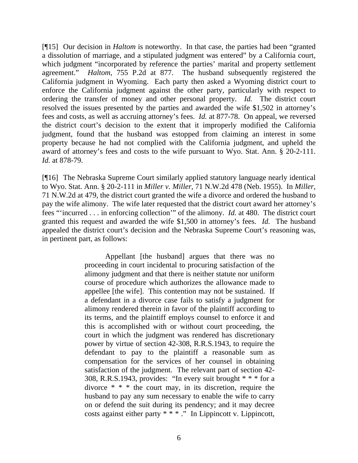[¶15] Our decision in *Haltom* is noteworthy. In that case, the parties had been "granted a dissolution of marriage, and a stipulated judgment was entered" by a California court, which judgment "incorporated by reference the parties' marital and property settlement agreement." *Haltom*, 755 P.2d at 877. The husband subsequently registered the California judgment in Wyoming. Each party then asked a Wyoming district court to enforce the California judgment against the other party, particularly with respect to ordering the transfer of money and other personal property. *Id.* The district court resolved the issues presented by the parties and awarded the wife \$1,502 in attorney's fees and costs, as well as accruing attorney's fees. *Id.* at 877-78. On appeal, we reversed the district court's decision to the extent that it improperly modified the California judgment, found that the husband was estopped from claiming an interest in some property because he had not complied with the California judgment, and upheld the award of attorney's fees and costs to the wife pursuant to Wyo. Stat. Ann. § 20-2-111. *Id.* at 878-79.

[¶16] The Nebraska Supreme Court similarly applied statutory language nearly identical to Wyo. Stat. Ann. § 20-2-111 in *Miller v. Miller*, 71 N.W.2d 478 (Neb. 1955). In *Miller*, 71 N.W.2d at 479, the district court granted the wife a divorce and ordered the husband to pay the wife alimony. The wife later requested that the district court award her attorney's fees "'incurred . . . in enforcing collection'" of the alimony. *Id.* at 480. The district court granted this request and awarded the wife \$1,500 in attorney's fees. *Id.* The husband appealed the district court's decision and the Nebraska Supreme Court's reasoning was, in pertinent part, as follows:

> Appellant [the husband] argues that there was no proceeding in court incidental to procuring satisfaction of the alimony judgment and that there is neither statute nor uniform course of procedure which authorizes the allowance made to appellee [the wife]. This contention may not be sustained. If a defendant in a divorce case fails to satisfy a judgment for alimony rendered therein in favor of the plaintiff according to its terms, and the plaintiff employs counsel to enforce it and this is accomplished with or without court proceeding, the court in which the judgment was rendered has discretionary power by virtue of section 42-308, R.R.S.1943, to require the defendant to pay to the plaintiff a reasonable sum as compensation for the services of her counsel in obtaining satisfaction of the judgment. The relevant part of section 42- 308, R.R.S.1943, provides: "In every suit brought  $* * *$  for a divorce \* \* \* the court may, in its discretion, require the husband to pay any sum necessary to enable the wife to carry on or defend the suit during its pendency; and it may decree costs against either party  $*\cdot^*$  ." In Lippincott v. Lippincott,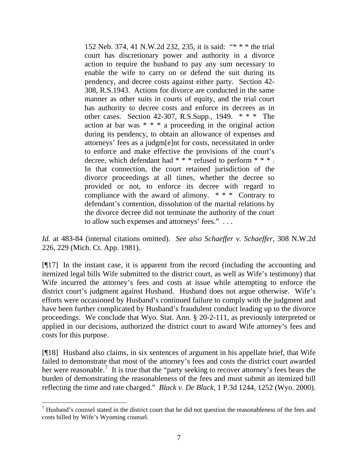152 Neb. 374, 41 N.W.2d 232, 235, it is said: "\* \* \* the trial court has discretionary power and authority in a divorce action to require the husband to pay any sum necessary to enable the wife to carry on or defend the suit during its pendency, and decree costs against either party. Section 42- 308, R.S.1943. Actions for divorce are conducted in the same manner as other suits in courts of equity, and the trial court has authority to decree costs and enforce its decrees as in other cases. Section 42-307, R.S.Supp.,  $1949.$  \* \* \* The action at bar was \* \* \* a proceeding in the original action during its pendency, to obtain an allowance of expenses and attorneys' fees as a judgm[e]nt for costs, necessitated in order to enforce and make effective the provisions of the court's decree, which defendant had \* \* \* refused to perform \* \* \* . In that connection, the court retained jurisdiction of the divorce proceedings at all times, whether the decree so provided or not, to enforce its decree with regard to compliance with the award of alimony. \* \* \* Contrary to defendant's contention, dissolution of the marital relations by the divorce decree did not terminate the authority of the court to allow such expenses and attorneys' fees." . . .

*Id.* at 483-84 (internal citations omitted). *See also Schaeffer v. Schaeffer*, 308 N.W.2d 226, 229 (Mich. Ct. App. 1981).

[¶17] In the instant case, it is apparent from the record (including the accounting and itemized legal bills Wife submitted to the district court, as well as Wife's testimony) that Wife incurred the attorney's fees and costs at issue while attempting to enforce the district court's judgment against Husband. Husband does not argue otherwise. Wife's efforts were occasioned by Husband's continued failure to comply with the judgment and have been further complicated by Husband's fraudulent conduct leading up to the divorce proceedings. We conclude that Wyo. Stat. Ann. § 20-2-111, as previously interpreted or applied in our decisions, authorized the district court to award Wife attorney's fees and costs for this purpose.

[¶18] Husband also claims, in six sentences of argument in his appellate brief, that Wife failed to demonstrate that most of the attorney's fees and costs the district court awarded her were reasonable.<sup>[7](#page-7-0)</sup> It is true that the "party seeking to recover attorney's fees bears the burden of demonstrating the reasonableness of the fees and must submit an itemized bill reflecting the time and rate charged." *Black v. De Black*, 1 P.3d 1244, 1252 (Wyo. 2000).

<span id="page-7-0"></span> $<sup>7</sup>$  Husband's counsel stated in the district court that he did not question the reasonableness of the fees and</sup> costs billed by Wife's Wyoming counsel.